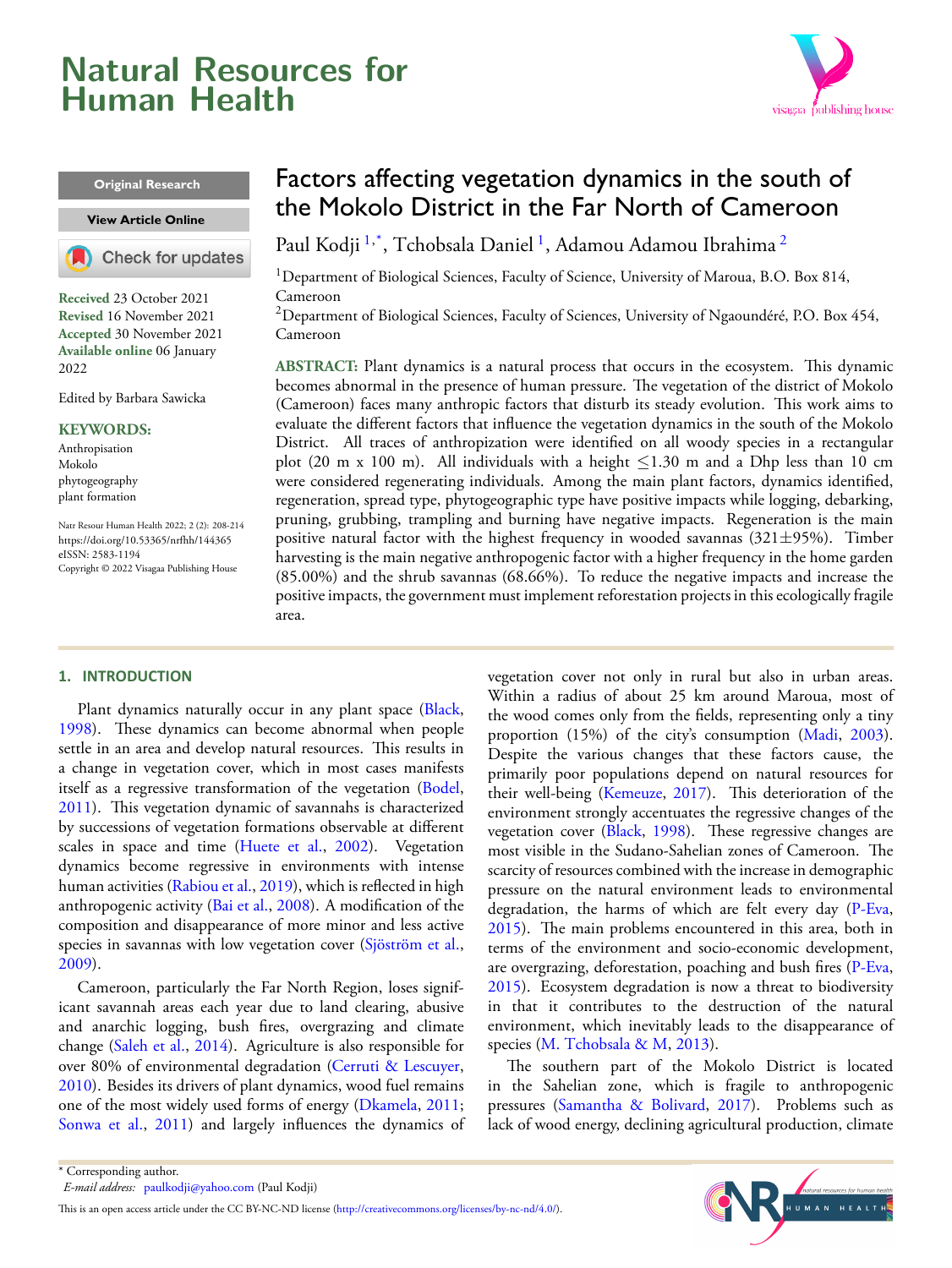## <span id="page-0-2"></span>**Natural Resources for Human Health**

# visagaa publishing house

#### **Original Research**

#### **View [Article Online](https://doi.org/10.53365/nrfhh/144365)**



**Received** 23 October 2021 **Revised** 16 November 2021 **Accepted** 30 November 2021 **Available online** 06 January 2022

Edited by Barbara Sawicka

#### **KEYWORDS:**

Anthropisation Mokolo phytogeography plant formation

Natr Resour Human Health 2022; 2 (2): 208-214 <https://doi.org/10.53365/nrfhh/144365> eISSN: 2583-1194 Copyright © 2022 Visagaa Publishing House

#### **1. INTRODUCTION**

Plant dynamics naturally occur in any plant space [\(Black,](#page-5-0) [1998](#page-5-0)). These dynamics can become abnormal when people settle in an area and develop natural resources. This results in a change in vegetation cover, which in most cases manifests itself as a regressive transformation of the vegetation [\(Bodel,](#page-5-1) [2011](#page-5-1)). This vegetation dynamic of savannahs is characterized by successions of vegetation formations observable at different scalesin space and time ([Huete et al.,](#page-6-0) [2002\)](#page-6-0). Vegetation dynamics become regressive in environments with intense human activities([Rabiou et al.,](#page-6-1) [2019](#page-6-1)), which is reflected in high anthropogenic activity([Bai et al.,](#page-5-2) [2008\)](#page-5-2). A modification of the composition and disappearance of more minor and less active species in savannas with low vegetation cover [\(Sjöström et al.,](#page-6-2) [2009](#page-6-2)).

Cameroon, particularly the Far North Region, loses significant savannah areas each year due to land clearing, abusive and anarchic logging, bush fires, overgrazing and climate change [\(Saleh et al.,](#page-6-3) [2014\)](#page-6-3). Agriculture is also responsible for over 80% of environmental degradation([Cerruti & Lescuyer,](#page-5-3) [2010](#page-5-3)). Besides its drivers of plant dynamics, wood fuel remains one of the most widely used forms of energy [\(Dkamela](#page-6-4), [2011;](#page-6-4) [Sonwa et al.,](#page-6-5) [2011\)](#page-6-5) and largely influences the dynamics of

### Factors affecting vegetation dynamics in the south of the Mokolo District in the Far North of Cameroon

Paul Kodji <sup>[1](#page-0-0),\*</sup>, Tchobsala Daniel <sup>1</sup>, Adamou Adamou Ibrahima <sup>[2](#page-0-1)</sup>

<span id="page-0-0"></span><sup>1</sup>Department of Biological Sciences, Faculty of Science, University of Maroua, B.O. Box 814, Cameroon

<span id="page-0-1"></span><sup>2</sup> Department of Biological Sciences, Faculty of Sciences, University of Ngaoundéré, P.O. Box 454, Cameroon

**ABSTRACT:** Plant dynamics is a natural process that occurs in the ecosystem. This dynamic becomes abnormal in the presence of human pressure. The vegetation of the district of Mokolo (Cameroon) faces many anthropic factors that disturb its steady evolution. This work aims to evaluate the different factors that influence the vegetation dynamics in the south of the Mokolo District. All traces of anthropization were identified on all woody species in a rectangular plot (20 m x 100 m). All individuals with a height *≤*1.30 m and a Dhp less than 10 cm were considered regenerating individuals. Among the main plant factors, dynamics identified, regeneration, spread type, phytogeographic type have positive impacts while logging, debarking, pruning, grubbing, trampling and burning have negative impacts. Regeneration is the main positive natural factor with the highest frequency in wooded savannas (321*±*95%). Timber harvesting is the main negative anthropogenic factor with a higher frequency in the home garden (85.00%) and the shrub savannas (68.66%). To reduce the negative impacts and increase the positive impacts, the government must implement reforestation projects in this ecologically fragile area.

> vegetation cover not only in rural but also in urban areas. Within a radius of about 25 km around Maroua, most of the wood comes only from the fields, representing only a tiny proportion (15%) of the city's consumption([Madi](#page-6-6), [2003\)](#page-6-6). Despite the various changes that these factors cause, the primarily poor populations depend on natural resources for their well-being [\(Kemeuze](#page-6-7), [2017](#page-6-7)). This deterioration of the environment strongly accentuates the regressive changes of the vegetation cover [\(Black](#page-5-0), [1998](#page-5-0)). These regressive changes are most visible in the Sudano-Sahelian zones of Cameroon. The scarcity of resources combined with the increase in demographic pressure on the natural environment leads to environmental degradation, the harms of which are felt every day([P-Eva](#page-6-8), [2015](#page-6-8)). The main problems encountered in this area, both in terms of the environment and socio-economic development, are overgrazing, deforestation, poaching and bush fires([P-Eva](#page-6-8), [2015](#page-6-8)). Ecosystem degradation is now a threat to biodiversity in that it contributes to the destruction of the natural environment, which inevitably leads to the disappearance of species [\(M. Tchobsala & M,](#page-6-9) [2013\)](#page-6-9).

> The southern part of the Mokolo District is located in the Sahelian zone, which is fragile to anthropogenic pressures [\(Samantha & Bolivard](#page-6-10), [2017\)](#page-6-10). Problems such as lack of wood energy, declining agricultural production, climate



<sup>\*</sup> Corresponding author. *E-mail address:* [paulkodji@yahoo.com](mailto:{paulkodji@yahoo.com} ) (Paul Kodji)

Thisis an open access article under the CC BY-NC-ND license (<http://creativecommons.org/licenses/by-nc-nd/4.0/>).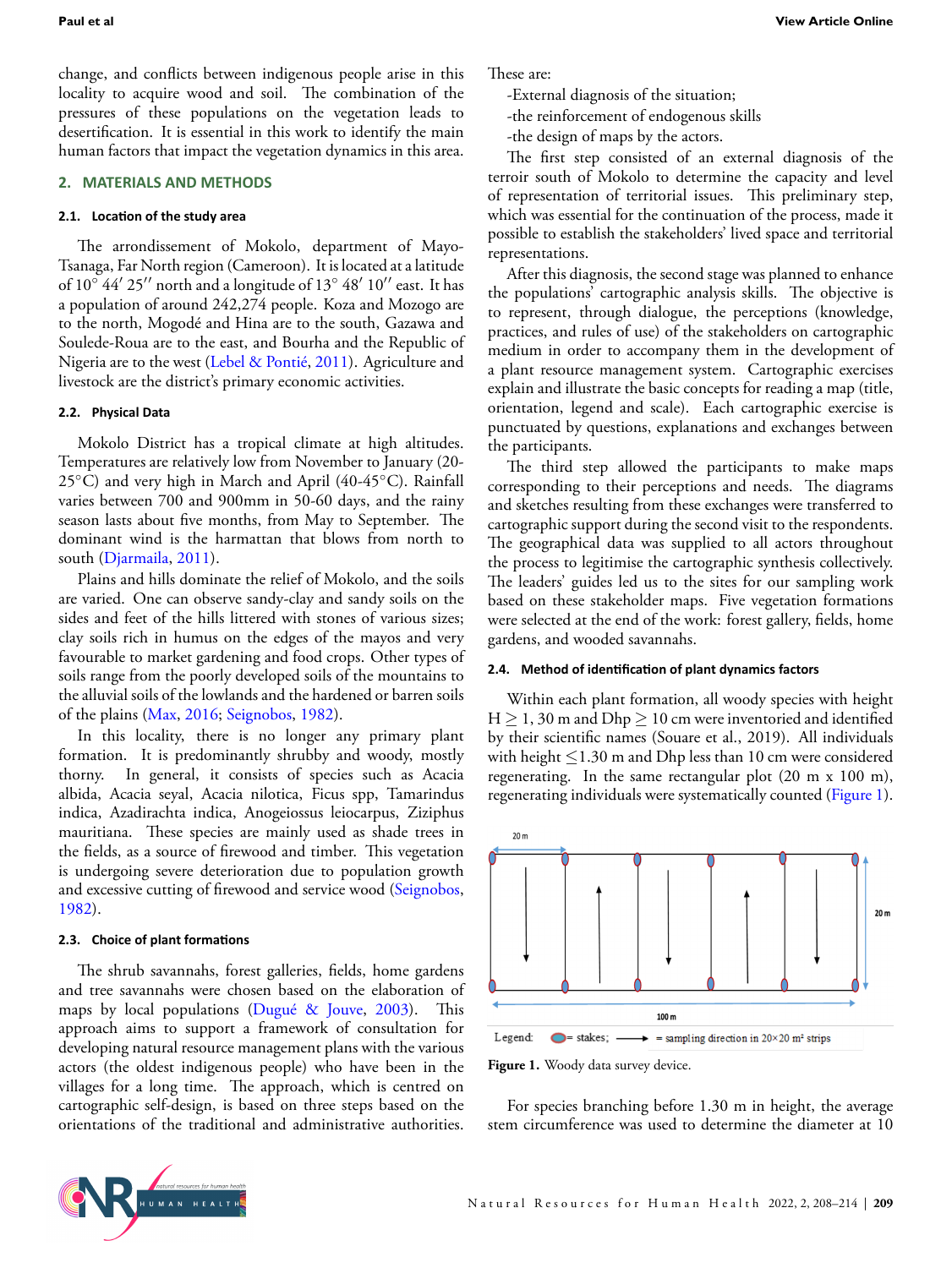change, and conflicts between indigenous people arise in this locality to acquire wood and soil. The combination of the pressures of these populations on the vegetation leads to desertification. It is essential in this work to identify the main human factors that impact the vegetation dynamics in this area.

#### **2. MATERIALS AND METHODS**

#### **2.1. LocaƟon of the study area**

The arrondissement of Mokolo, department of Mayo-Tsanaga, Far North region (Cameroon). It is located at a latitude of 10*◦* 44*′* 25*′′* north and a longitude of 13*◦* 48*′* 10*′′* east. It has a population of around 242,274 people. Koza and Mozogo are to the north, Mogodé and Hina are to the south, Gazawa and Soulede-Roua are to the east, and Bourha and the Republic of Nigeria are to the west [\(Lebel & Pontié](#page-6-11), [2011](#page-6-11)). Agriculture and livestock are the district's primary economic activities.

#### **2.2. Physical Data**

Mokolo District has a tropical climate at high altitudes. Temperatures are relatively low from November to January (20- 25*◦*C) and very high in March and April (40-45*◦*C). Rainfall varies between 700 and 900mm in 50-60 days, and the rainy season lasts about five months, from May to September. The dominant wind is the harmattan that blows from north to south([Djarmaila](#page-6-12), [2011\)](#page-6-12).

Plains and hills dominate the relief of Mokolo, and the soils are varied. One can observe sandy-clay and sandy soils on the sides and feet of the hills littered with stones of various sizes; clay soils rich in humus on the edges of the mayos and very favourable to market gardening and food crops. Other types of soils range from the poorly developed soils of the mountains to the alluvial soils of the lowlands and the hardened or barren soils of the plains [\(Max](#page-6-13), [2016;](#page-6-13) [Seignobos,](#page-6-14) [1982\)](#page-6-14).

In this locality, there is no longer any primary plant formation. It is predominantly shrubby and woody, mostly thorny. In general, it consists of species such as Acacia albida, Acacia seyal, Acacia nilotica, Ficus spp, Tamarindus indica, Azadirachta indica, Anogeiossus leiocarpus, Ziziphus mauritiana. These species are mainly used as shade trees in the fields, as a source of firewood and timber. This vegetation is undergoing severe deterioration due to population growth and excessive cutting of firewood and service wood([Seignobos,](#page-6-14) [1982](#page-6-14)).

#### **2.3. Choice of plant formaƟons**

The shrub savannahs, forest galleries, fields, home gardens and tree savannahs were chosen based on the elaboration of maps by local populations [\(Dugué & Jouve,](#page-6-15) [2003\)](#page-6-15). This approach aims to support a framework of consultation for developing natural resource management plans with the various actors (the oldest indigenous people) who have been in the villages for a long time. The approach, which is centred on cartographic self-design, is based on three steps based on the orientations of the traditional and administrative authorities. These are:

- -External diagnosis of the situation;
- -the reinforcement of endogenous skills
- -the design of maps by the actors.

The first step consisted of an external diagnosis of the terroir south of Mokolo to determine the capacity and level of representation of territorial issues. This preliminary step, which was essential for the continuation of the process, made it possible to establish the stakeholders' lived space and territorial representations.

After this diagnosis, the second stage was planned to enhance the populations' cartographic analysis skills. The objective is to represent, through dialogue, the perceptions (knowledge, practices, and rules of use) of the stakeholders on cartographic medium in order to accompany them in the development of a plant resource management system. Cartographic exercises explain and illustrate the basic concepts for reading a map (title, orientation, legend and scale). Each cartographic exercise is punctuated by questions, explanations and exchanges between the participants.

The third step allowed the participants to make maps corresponding to their perceptions and needs. The diagrams and sketches resulting from these exchanges were transferred to cartographic support during the second visit to the respondents. The geographical data was supplied to all actors throughout the process to legitimise the cartographic synthesis collectively. The leaders' guides led us to the sites for our sampling work based on these stakeholder maps. Five vegetation formations were selected at the end of the work: forest gallery, fields, home gardens, and wooded savannahs.

#### **2.4. Method of idenƟficaƟon of plant dynamics factors**

Within each plant formation, all woody species with height H *≥* 1, 30 m and Dhp *≥* 10 cm were inventoried and identified by their scientific names (Souare et al., 2019). All individuals with height *≤*1.30 m and Dhp less than 10 cm were considered regenerating. In the same rectangular plot (20 m x 100 m), regenerating individuals were systematically counted (Figure [1\)](#page-1-0).

<span id="page-1-0"></span>

Figure 1. Woody data survey device.

For species branching before 1.30 m in height, the average stem circumference was used to determine the diameter at 10

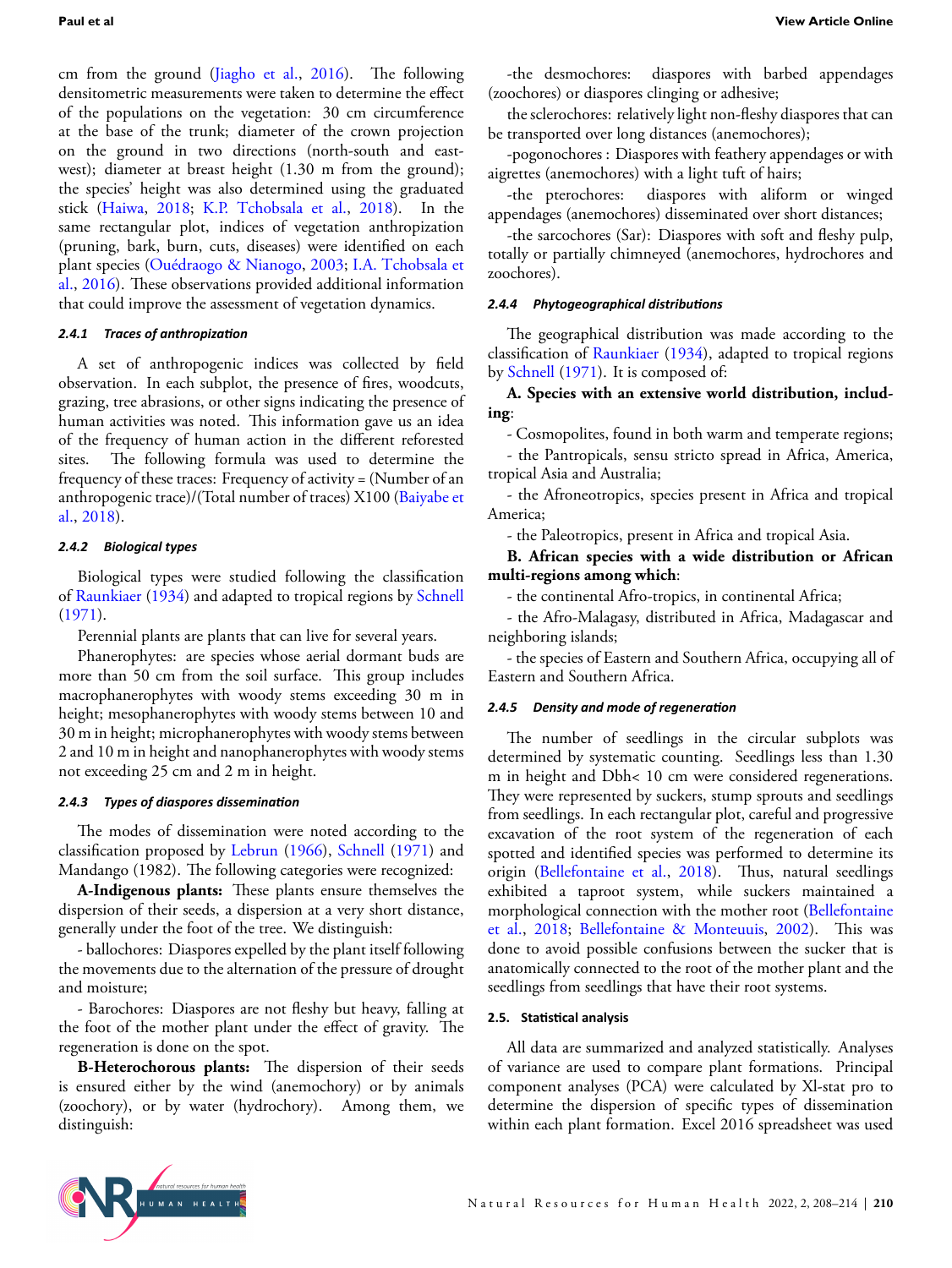cm from the ground [\(Jiagho et al.,](#page-6-16) [2016](#page-6-16)). The following densitometric measurements were taken to determine the effect of the populations on the vegetation: 30 cm circumference at the base of the trunk; diameter of the crown projection on the ground in two directions (north-south and eastwest); diameter at breast height (1.30 m from the ground); the species' height was also determined using the graduated stick([Haiwa](#page-6-17), [2018;](#page-6-17) [K.P. Tchobsala et al.,](#page-6-18) [2018\)](#page-6-18). In the same rectangular plot, indices of vegetation anthropization (pruning, bark, burn, cuts, diseases) were identified on each plant species([Ouédraogo & Nianogo,](#page-6-19) [2003](#page-6-19); [I.A. Tchobsala et](#page-6-20) [al.,](#page-6-20) [2016](#page-6-20)). These observations provided additional information that could improve the assessment of vegetation dynamics.

#### *2.4.1 Traces of anthropizaƟon*

A set of anthropogenic indices was collected by field observation. In each subplot, the presence of fires, woodcuts, grazing, tree abrasions, or other signs indicating the presence of human activities was noted. This information gave us an idea of the frequency of human action in the different reforested sites. The following formula was used to determine the frequency of these traces: Frequency of activity = (Number of an anthropogenic trace)/(Total number of traces) X100([Baiyabe et](#page-5-4) [al.,](#page-5-4) [2018](#page-5-4)).

#### *2.4.2 Biological types*

Biological types were studied following the classification of [Raunkiaer](#page-6-21) [\(1934](#page-6-21)) and adapted to tropical regions by [Schnell](#page-6-22) ([1971\)](#page-6-22).

Perennial plants are plants that can live for several years.

Phanerophytes: are species whose aerial dormant buds are more than 50 cm from the soil surface. This group includes macrophanerophytes with woody stems exceeding 30 m in height; mesophanerophytes with woody stems between 10 and 30 m in height; microphanerophytes with woody stems between 2 and 10 m in height and nanophanerophytes with woody stems not exceeding 25 cm and 2 m in height.

#### *2.4.3 Types of diaspores disseminaƟon*

The modes of dissemination were noted according to the classification proposed by [Lebrun](#page-6-23) ([1966\)](#page-6-23), [Schnell](#page-6-22) [\(1971](#page-6-22)) and Mandango (1982). The following categories were recognized:

**A-Indigenous plants:** These plants ensure themselves the dispersion of their seeds, a dispersion at a very short distance, generally under the foot of the tree. We distinguish:

- ballochores: Diaspores expelled by the plant itself following the movements due to the alternation of the pressure of drought and moisture;

- Barochores: Diaspores are not fleshy but heavy, falling at the foot of the mother plant under the effect of gravity. The regeneration is done on the spot.

**B-Heterochorous plants:** The dispersion of their seeds is ensured either by the wind (anemochory) or by animals (zoochory), or by water (hydrochory). Among them, we distinguish:

-the desmochores: diaspores with barbed appendages (zoochores) or diaspores clinging or adhesive;

the sclerochores: relatively light non-fleshy diaspores that can be transported over long distances (anemochores);

-pogonochores : Diaspores with feathery appendages or with aigrettes (anemochores) with a light tuft of hairs;

-the pterochores: diaspores with aliform or winged appendages (anemochores) disseminated over short distances;

-the sarcochores (Sar): Diaspores with soft and fleshy pulp, totally or partially chimneyed (anemochores, hydrochores and zoochores).

#### *2.4.4 Phytogeographical distribuƟons*

The geographical distribution was made according to the classification of [Raunkiaer](#page-6-21) ([1934\)](#page-6-21), adapted to tropical regions by [Schnell](#page-6-22) [\(1971\)](#page-6-22). It is composed of:

#### **A. Species with an extensive world distribution, including**:

- Cosmopolites, found in both warm and temperate regions;

- the Pantropicals, sensu stricto spread in Africa, America, tropical Asia and Australia;

- the Afroneotropics, species present in Africa and tropical America;

- the Paleotropics, present in Africa and tropical Asia.

**B. African species with a wide distribution or African multi-regions among which**:

- the continental Afro-tropics, in continental Africa;

- the Afro-Malagasy, distributed in Africa, Madagascar and neighboring islands;

- the species of Eastern and Southern Africa, occupying all of Eastern and Southern Africa.

#### *2.4.5 Density and mode of regeneraƟon*

The number of seedlings in the circular subplots was determined by systematic counting. Seedlings less than 1.30 m in height and Dbh< 10 cm were considered regenerations. They were represented by suckers, stump sprouts and seedlings from seedlings. In each rectangular plot, careful and progressive excavation of the root system of the regeneration of each spotted and identified species was performed to determine its origin [\(Bellefontaine et al.](#page-5-5), [2018\)](#page-5-5). Thus, natural seedlings exhibited a taproot system, while suckers maintained a morphological connection with the mother root([Bellefontaine](#page-5-5) [et al.,](#page-5-5) [2018](#page-5-5); [Bellefontaine & Monteuuis,](#page-5-6) [2002](#page-5-6)). This was done to avoid possible confusions between the sucker that is anatomically connected to the root of the mother plant and the seedlings from seedlings that have their root systems.

#### **2.5. StaƟsƟcal analysis**

All data are summarized and analyzed statistically. Analyses of variance are used to compare plant formations. Principal component analyses (PCA) were calculated by Xl-stat pro to determine the dispersion of specific types of dissemination within each plant formation. Excel 2016 spreadsheet was used

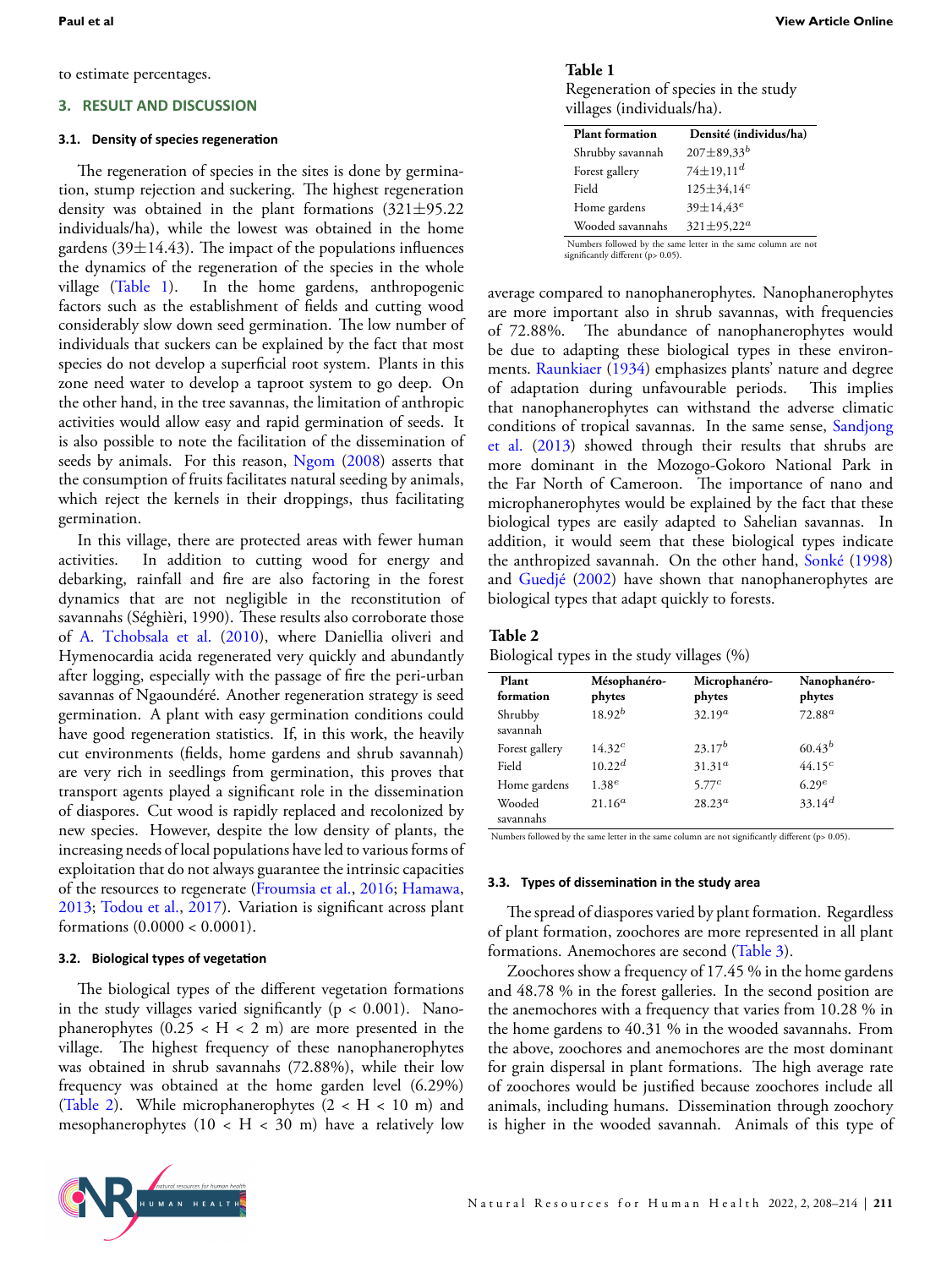to estimate percentages.

#### **3. RESULT AND DISCUSSION**

#### **3.1. Density of species regeneraƟon**

The regeneration of species in the sites is done by germination, stump rejection and suckering. The highest regeneration density was obtained in the plant formations (321*±*95.22 individuals/ha), while the lowest was obtained in the home gardens (39*±*14.43). The impact of the populations influences the dynamics of the regeneration of the species in the whole village (Table [1\)](#page-3-0). In the home gardens, anthropogenic factors such as the establishment of fields and cutting wood considerably slow down seed germination. The low number of individuals that suckers can be explained by the fact that most species do not develop a superficial root system. Plants in this zone need water to develop a taproot system to go deep. On the other hand, in the tree savannas, the limitation of anthropic activities would allow easy and rapid germination of seeds. It is also possible to note the facilitation of the dissemination of seeds by animals. For this reason, [Ngom](#page-6-24) ([2008\)](#page-6-24) asserts that the consumption of fruits facilitates natural seeding by animals, which reject the kernels in their droppings, thus facilitating germination.

In this village, there are protected areas with fewer human activities. In addition to cutting wood for energy and debarking, rainfall and fire are also factoring in the forest dynamics that are not negligible in the reconstitution of savannahs (Séghièri, 1990). These results also corroborate those of [A. Tchobsala et al.](#page-6-25) [\(2010](#page-6-25)), where Daniellia oliveri and Hymenocardia acida regenerated very quickly and abundantly after logging, especially with the passage of fire the peri-urban savannas of Ngaoundéré. Another regeneration strategy is seed germination. A plant with easy germination conditions could have good regeneration statistics. If, in this work, the heavily cut environments (fields, home gardens and shrub savannah) are very rich in seedlings from germination, this proves that transport agents played a significant role in the dissemination of diaspores. Cut wood is rapidly replaced and recolonized by new species. However, despite the low density of plants, the increasing needs of local populations have led to various forms of exploitation that do not always guarantee the intrinsic capacities of the resources to regenerate [\(Froumsia et al.,](#page-6-26) [2016](#page-6-26); [Hamawa,](#page-6-27) [2013](#page-6-27); [Todou et al.](#page-6-28), [2017\)](#page-6-28). Variation is significant across plant formations (0.0000 < 0.0001).

#### **3.2. Biological types of vegetaƟon**

The biological types of the different vegetation formations in the study villages varied significantly  $(p < 0.001)$ . Nanophanerophytes  $(0.25 < H < 2 m)$  are more presented in the village. The highest frequency of these nanophanerophytes was obtained in shrub savannahs (72.88%), while their low frequency was obtained at the home garden level (6.29%) (Table [2](#page-3-1)). While microphanerophytes  $(2 < H < 10$  m) and mesophanerophytes  $(10 < H < 30$  m) have a relatively low

#### <span id="page-3-0"></span>**Table 1**

Regeneration of species in the study villages (individuals/ha).

| <b>Plant formation</b> | Densité (individus/ha)       |
|------------------------|------------------------------|
| Shrubby savannah       | $207 \pm 89,33^{b}$          |
| Forest gallery         | $74\pm19.11^d$               |
| Field                  | $125 \pm 34.14$ <sup>c</sup> |
| Home gardens           | $39 \pm 14.43^e$             |
| Wooded savannahs       | 321±95,22 <sup>a</sup>       |
|                        |                              |

Numbers followed by the same letter in the same column are not significantly different (p> 0.05).

average compared to nanophanerophytes. Nanophanerophytes are more important also in shrub savannas, with frequencies of 72.88%. The abundance of nanophanerophytes would be due to adapting these biological types in these environments. [Raunkiaer](#page-6-21) ([1934\)](#page-6-21) emphasizes plants' nature and degree of adaptation during unfavourable periods. This implies that nanophanerophytes can withstand the adverse climatic conditions of tropical savannas. In the same sense, [Sandjong](#page-6-29) [et al.](#page-6-29) [\(2013\)](#page-6-29) showed through their results that shrubs are more dominant in the Mozogo-Gokoro National Park in the Far North of Cameroon. The importance of nano and microphanerophytes would be explained by the fact that these biological types are easily adapted to Sahelian savannas. In addition, it would seem that these biological types indicate the anthropized savannah. On the other hand, [Sonké](#page-6-30) ([1998\)](#page-6-30) and [Guedjé](#page-6-31) ([2002](#page-6-31)) have shown that nanophanerophytes are biological types that adapt quickly to forests.

#### <span id="page-3-1"></span>**Table 2**

Biological types in the study villages (%)

| Plant<br>formation  | Mésophanéro-<br>phytes | Microphanéro-<br>phytes | Nanophanéro-<br>phytes |
|---------------------|------------------------|-------------------------|------------------------|
| Shrubby<br>savannah | $18.92^{b}$            | $32.19^a$               | $72.88^a$              |
| Forest gallery      | $14.32^{c}$            | $23.17^{b}$             | $60.43^{b}$            |
| Field               | $10.22^d$              | $31.31^a$               | $44.15^{c}$            |
| Home gardens        | $1.38^{e}$             | 5.77c                   | 6.29e                  |
| Wooded<br>savannahs | $21.16^a$              | $28.23^a$               | $33.14^{d}$            |

Numbers followed by the same letter in the same column are not significantly different (p> 0.05).

#### **3.3. Types of disseminaƟon in the study area**

The spread of diaspores varied by plant formation. Regardless of plant formation, zoochores are more represented in all plant formations. Anemochores are second (Table [3\)](#page-4-0).

Zoochores show a frequency of 17.45 % in the home gardens and 48.78 % in the forest galleries. In the second position are the anemochores with a frequency that varies from 10.28 % in the home gardens to 40.31 % in the wooded savannahs. From the above, zoochores and anemochores are the most dominant for grain dispersal in plant formations. The high average rate of zoochores would be justified because zoochores include all animals, including humans. Dissemination through zoochory is higher in the wooded savannah. Animals of this type of

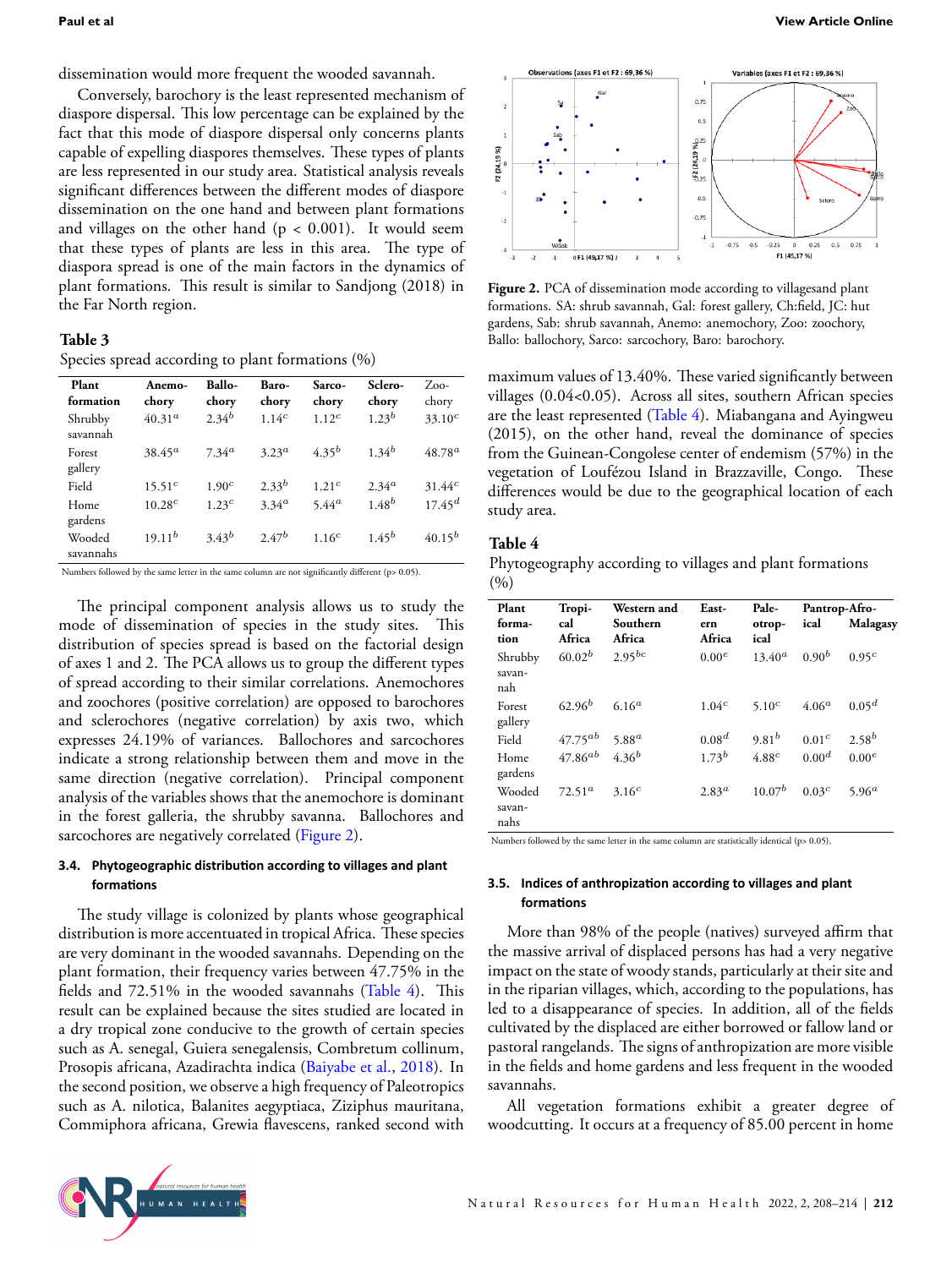dissemination would more frequent the wooded savannah.

Conversely, barochory is the least represented mechanism of diaspore dispersal. This low percentage can be explained by the fact that this mode of diaspore dispersal only concerns plants capable of expelling diaspores themselves. These types of plants are less represented in our study area. Statistical analysis reveals significant differences between the different modes of diaspore dissemination on the one hand and between plant formations and villages on the other hand  $(p < 0.001)$ . It would seem that these types of plants are less in this area. The type of diaspora spread is one of the main factors in the dynamics of plant formations. This result is similar to Sandjong (2018) in the Far North region.

#### <span id="page-4-0"></span>**Table 3**

Species spread according to plant formations (%)

| Plant<br>formation  | Anemo-<br>chory    | <b>Ballo-</b><br>chory | Baro-<br>chory    | Sarco-<br>chory   | Sclero-<br>chory | $Z_{.00}$ -<br>chory |
|---------------------|--------------------|------------------------|-------------------|-------------------|------------------|----------------------|
| Shrubby<br>savannah | 40.31 <sup>a</sup> | $2.34^{b}$             | 1.14 <sup>c</sup> | 1.12 <sup>c</sup> | $1.23^{b}$       | $33.10^{c}$          |
| Forest<br>gallery   | $38.45^a$          | $7.34^{a}$             | $3.23^a$          | $4.35^{b}$        | $1.34^{b}$       | $48.78^{a}$          |
| Field               | $15.51^{c}$        | 1.90 <sup>c</sup>      | $2.33^{b}$        | 1.21 <sup>c</sup> | $2.34^{a}$       | 31.44c               |
| Home<br>gardens     | $10.28^{c}$        | 1.23c                  | $3.34^{a}$        | $5.44^{a}$        | $1.48^{b}$       | $17.45^{d}$          |
| Wooded<br>savannahs | $19.11^{b}$        | $3.43^{b}$             | $2.47^{b}$        | 1.16 <sup>c</sup> | $1.45^{b}$       | $40.15^{b}$          |

Numbers followed by the same letter in the same column are not significantly different (p> 0.05).

The principal component analysis allows us to study the mode of dissemination of species in the study sites. This distribution of species spread is based on the factorial design of axes 1 and 2. The PCA allows us to group the different types of spread according to their similar correlations. Anemochores and zoochores (positive correlation) are opposed to barochores and sclerochores (negative correlation) by axis two, which expresses 24.19% of variances. Ballochores and sarcochores indicate a strong relationship between them and move in the same direction (negative correlation). Principal component analysis of the variables shows that the anemochore is dominant in the forest galleria, the shrubby savanna. Ballochores and sarcochores are negatively correlated (Figure [2](#page-4-1)).

#### **3.4. Phytogeographic distribuƟon according to villages and plant formaƟons**

The study village is colonized by plants whose geographical distribution is more accentuated in tropical Africa. These species are very dominant in the wooded savannahs. Depending on the plant formation, their frequency varies between 47.75% in the fields and 72.51% in the wooded savannahs (Table [4\)](#page-4-2). This result can be explained because the sites studied are located in a dry tropical zone conducive to the growth of certain species such as A. senegal, Guiera senegalensis, Combretum collinum, Prosopis africana, Azadirachta indica [\(Baiyabe et al.,](#page-5-4) [2018](#page-5-4)). In the second position, we observe a high frequency of Paleotropics such as A. nilotica, Balanites aegyptiaca, Ziziphus mauritana, Commiphora africana, Grewia flavescens, ranked second with

<span id="page-4-1"></span>

Figure 2. PCA of dissemination mode according to villagesand plant formations. SA: shrub savannah, Gal: forest gallery, Ch:field, JC: hut gardens, Sab: shrub savannah, Anemo: anemochory, Zoo: zoochory, Ballo: ballochory, Sarco: sarcochory, Baro: barochory.

maximum values of 13.40%. These varied significantly between villages (0.04<0.05). Across all sites, southern African species are the least represented (Table [4\)](#page-4-2). Miabangana and Ayingweu (2015), on the other hand, reveal the dominance of species from the Guinean-Congolese center of endemism (57%) in the vegetation of Loufézou Island in Brazzaville, Congo. These differences would be due to the geographical location of each study area.

#### <span id="page-4-2"></span>**Table 4**

Phytogeography according to villages and plant formations  $(9/0)$ 

| Plant                    | Tropi-        | <b>Western</b> and | East-             | Pale-                          | Pantrop-Afro-     |                   |
|--------------------------|---------------|--------------------|-------------------|--------------------------------|-------------------|-------------------|
| forma-<br>tion           | cal<br>Africa | Southern<br>Africa | ern<br>Africa     | otrop-<br>ical                 | ical              | Malagasy          |
| Shrubby<br>savan-<br>nah | $60.02^b$     | $2.95^{bc}$        | 0.00 <sup>e</sup> | $13.40^a$                      | $0.90^{b}$        | 0.95 <sup>c</sup> |
| Forest<br>gallery        | $62.96^{b}$   | 6.16 <sup>a</sup>  | 1.04 <sup>c</sup> | 5.10 <sup><math>c</math></sup> | $4.06^a$          | $0.05^d$          |
| Field                    | $47.75^{ab}$  | $5.88^a$           | 0.08 <sup>d</sup> | $9.81^{b}$                     | 0.01 <sup>c</sup> | $2.58^{b}$        |
| Home<br>gardens          | $47.86^{ab}$  | $4.36^{b}$         | $1.73^{b}$        | 4.88c                          | 0.00 <sup>d</sup> | 0.00 <sup>e</sup> |
| Wooded<br>savan-         | $72.51^a$     | $3.16^{c}$         | 2.83 <sup>a</sup> | $10.07^{b}$                    | 0.03 <sup>c</sup> | 5.96 <sup>a</sup> |
| nahs                     |               |                    |                   |                                |                   |                   |

Numbers followed by the same letter in the same column are statistically identical (p> 0.05),

#### **3.5. Indices of anthropizaƟon according to villages and plant formaƟons**

More than 98% of the people (natives) surveyed affirm that the massive arrival of displaced persons has had a very negative impact on the state of woody stands, particularly at their site and in the riparian villages, which, according to the populations, has led to a disappearance of species. In addition, all of the fields cultivated by the displaced are either borrowed or fallow land or pastoral rangelands. The signs of anthropization are more visible in the fields and home gardens and less frequent in the wooded savannahs.

All vegetation formations exhibit a greater degree of woodcutting. It occurs at a frequency of 85.00 percent in home

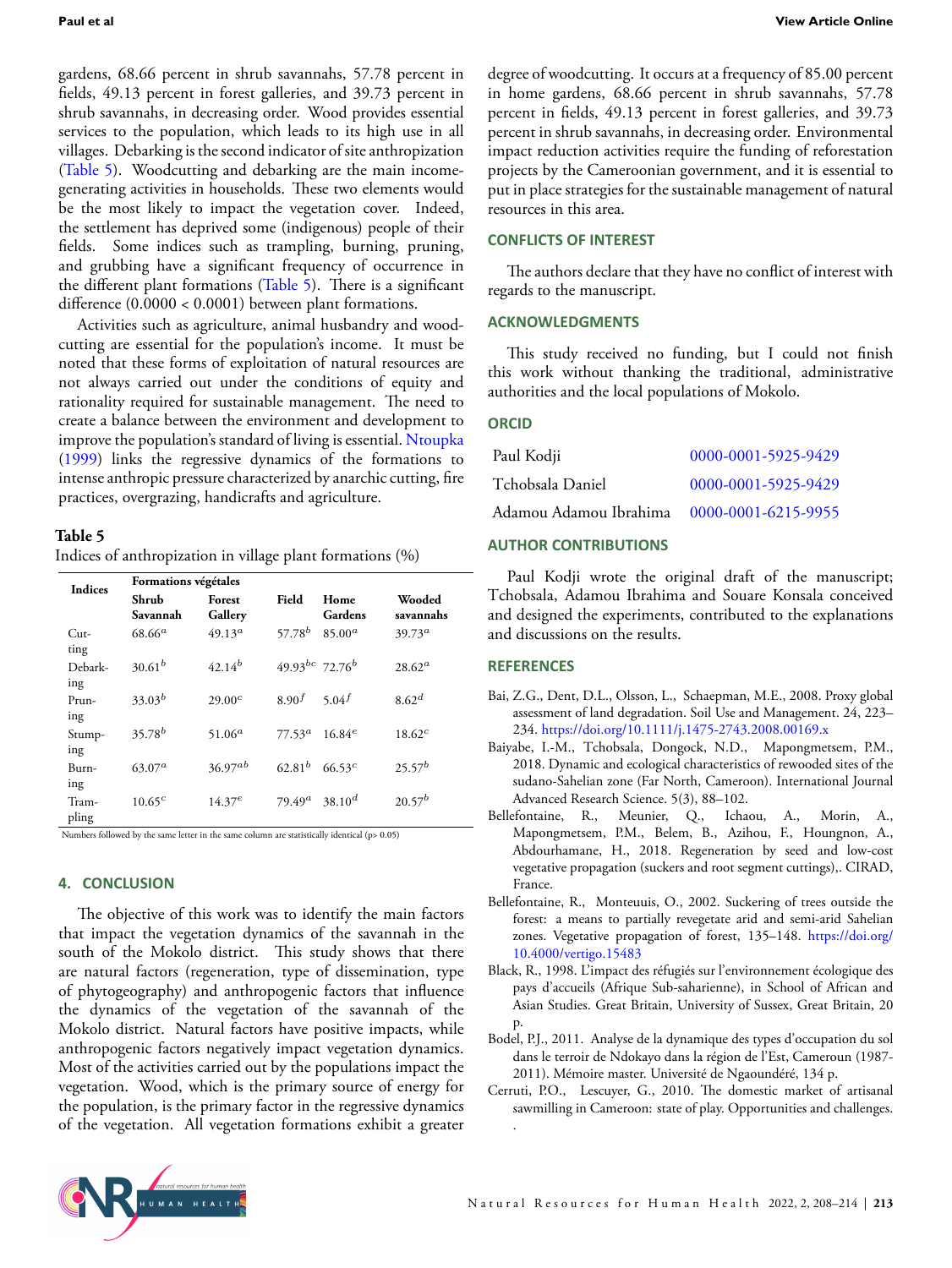gardens, 68.66 percent in shrub savannahs, 57.78 percent in fields, 49.13 percent in forest galleries, and 39.73 percent in shrub savannahs, in decreasing order. Wood provides essential services to the population, which leads to its high use in all villages. Debarking is the second indicator of site anthropization (Table [5\)](#page-5-7). Woodcutting and debarking are the main incomegenerating activities in households. These two elements would be the most likely to impact the vegetation cover. Indeed, the settlement has deprived some (indigenous) people of their fields. Some indices such as trampling, burning, pruning, and grubbing have a significant frequency of occurrence in the different plant formations (Table [5\)](#page-5-7). There is a significant difference (0.0000 < 0.0001) between plant formations.

Activities such as agriculture, animal husbandry and woodcutting are essential for the population's income. It must be noted that these forms of exploitation of natural resources are not always carried out under the conditions of equity and rationality required for sustainable management. The need to create a balance between the environment and development to improve the population's standard of living is essential. [Ntoupka](#page-6-32) ([1999\)](#page-6-32) links the regressive dynamics of the formations to intense anthropic pressure characterized by anarchic cutting, fire practices, overgrazing, handicrafts and agriculture.

#### <span id="page-5-7"></span>**Table 5**

Indices of anthropization in village plant formations (%)

|  | <b>Indices</b> | Formations végétales                   |                    |                                 |                 |                     |  |
|--|----------------|----------------------------------------|--------------------|---------------------------------|-----------------|---------------------|--|
|  |                | Shrub<br>Forest<br>Gallery<br>Savannah |                    | Field                           | Home<br>Gardens | Wooded<br>savannahs |  |
|  | Cut-<br>ting   | $68.66^a$                              | $49.13^a$          | $57.78^{b}$                     | $85.00^a$       | $39.73^a$           |  |
|  | Debark-<br>ing | $30.61^{b}$                            | $42.14^{b}$        | $49.93^{bc}$ 72.76 <sup>b</sup> |                 | $28.62^a$           |  |
|  | Prun-<br>ing   | $33.03^{b}$                            | 29.00 <sup>c</sup> | 8.90 <sup>f</sup>               | 5.04 $f$        | 8.62 <sup>d</sup>   |  |
|  | Stump-<br>ing  | $35.78^{b}$                            | $51.06^a$          | $77.53^a$ 16.84 <sup>e</sup>    |                 | $18.62^c$           |  |
|  | Burn-<br>ing   | $63.07^a$                              | $36.97^{ab}$       | $62.81^{b}$                     | $66.53^{c}$     | $25.57^{b}$         |  |
|  | Tram-<br>pling | $10.65^{c}$                            | $14.37^{e}$        | $79.49^a$                       | $38.10^{d}$     | $20.57^{b}$         |  |

Numbers followed by the same letter in the same column are statistically identical (p> 0.05)

#### **4. CONCLUSION**

The objective of this work was to identify the main factors that impact the vegetation dynamics of the savannah in the south of the Mokolo district. This study shows that there are natural factors (regeneration, type of dissemination, type of phytogeography) and anthropogenic factors that influence the dynamics of the vegetation of the savannah of the Mokolo district. Natural factors have positive impacts, while anthropogenic factors negatively impact vegetation dynamics. Most of the activities carried out by the populations impact the vegetation. Wood, which is the primary source of energy for the population, is the primary factor in the regressive dynamics of the vegetation. All vegetation formations exhibit a greater degree of woodcutting. It occurs at a frequency of 85.00 percent in home gardens, 68.66 percent in shrub savannahs, 57.78 percent in fields, 49.13 percent in forest galleries, and 39.73 percent in shrub savannahs, in decreasing order. Environmental impact reduction activities require the funding of reforestation projects by the Cameroonian government, and it is essential to put in place strategies for the sustainable management of natural resources in this area.

#### **CONFLICTS OF INTEREST**

The authors declare that they have no conflict of interest with regards to the manuscript.

#### **ACKNOWLEDGMENTS**

This study received no funding, but I could not finish this work without thanking the traditional, administrative authorities and the local populations of Mokolo.

#### **ORCID**

| Paul Kodji                                 | 0000-0001-5925-9429 |
|--------------------------------------------|---------------------|
| Tchobsala Daniel                           | 0000-0001-5925-9429 |
| Adamou Adamou Ibrahima 0000-0001-6215-9955 |                     |

#### **AUTHOR CONTRIBUTIONS**

Paul Kodji wrote the original draft of the manuscript; Tchobsala, Adamou Ibrahima and Souare Konsala conceived and designed the experiments, contributed to the explanations and discussions on the results.

#### **REFERENCES**

- <span id="page-5-2"></span>Bai, Z.G., Dent, D.L., Olsson, L., Schaepman, M.E., 2008. Proxy global assessment of land degradation. Soil Use and Management. 24, 223– 234. <https://doi.org/10.1111/j.1475-2743.2008.00169.x>
- <span id="page-5-4"></span>Baiyabe, I.-M., Tchobsala, Dongock, N.D., Mapongmetsem, P.M., 2018. Dynamic and ecological characteristics of rewooded sites of the sudano-Sahelian zone (Far North, Cameroon). International Journal Advanced Research Science. 5(3), 88–102.
- <span id="page-5-5"></span>Bellefontaine, R., Meunier, Q., Ichaou, A., Morin, A., Mapongmetsem, P.M., Belem, B., Azihou, F., Houngnon, A., Abdourhamane, H., 2018. Regeneration by seed and low-cost vegetative propagation (suckers and root segment cuttings),. CIRAD, France.
- <span id="page-5-6"></span>Bellefontaine, R., Monteuuis, O., 2002. Suckering of trees outside the forest: a means to partially revegetate arid and semi-arid Sahelian zones. Vegetative propagation of forest, 135–148. [https://doi.org/](https://doi.org/10.4000/vertigo.15483) [10.4000/vertigo.15483](https://doi.org/10.4000/vertigo.15483)
- <span id="page-5-0"></span>Black, R., 1998. L'impact des réfugiés sur l'environnement écologique des pays d'accueils (Afrique Sub-saharienne), in School of African and Asian Studies. Great Britain, University of Sussex, Great Britain, 20 p.
- <span id="page-5-1"></span>Bodel, P.J., 2011. Analyse de la dynamique des types d'occupation du sol dans le terroir de Ndokayo dans la région de l'Est, Cameroun (1987- 2011). Mémoire master. Université de Ngaoundéré, 134 p.
- <span id="page-5-3"></span>Cerruti, P.O., Lescuyer, G., 2010. The domestic market of artisanal sawmilling in Cameroon: state of play. Opportunities and challenges. .